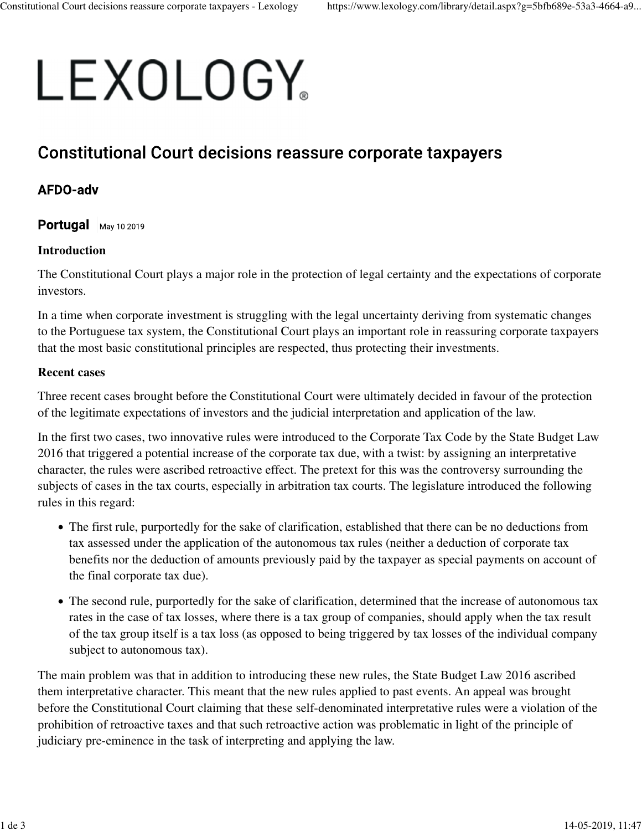# LEXOLOGY。

## **Constitutional Court decisions reassure corporate taxpayers**

### AFDO-adv

Portugal  $\vert$  May 10 2019

#### **Introduction**

The Constitutional Court plays a major role in the protection of legal certainty and the expectations of corporate investors.

In a time when corporate investment is struggling with the legal uncertainty deriving from systematic changes to the Portuguese tax system, the Constitutional Court plays an important role in reassuring corporate taxpayers that the most basic constitutional principles are respected, thus protecting their investments.

#### **Recent cases**

Three recent cases brought before the Constitutional Court were ultimately decided in favour of the protection of the legitimate expectations of investors and the judicial interpretation and application of the law.

In the first two cases, two innovative rules were introduced to the Corporate Tax Code by the State Budget Law 2016 that triggered a potential increase of the corporate tax due, with a twist: by assigning an interpretative character, the rules were ascribed retroactive effect. The pretext for this was the controversy surrounding the subjects of cases in the tax courts, especially in arbitration tax courts. The legislature introduced the following rules in this regard:

- The first rule, purportedly for the sake of clarification, established that there can be no deductions from tax assessed under the application of the autonomous tax rules (neither a deduction of corporate tax benefits nor the deduction of amounts previously paid by the taxpayer as special payments on account of the final corporate tax due).
- The second rule, purportedly for the sake of clarification, determined that the increase of autonomous tax rates in the case of tax losses, where there is a tax group of companies, should apply when the tax result of the tax group itself is a tax loss (as opposed to being triggered by tax losses of the individual company subject to autonomous tax).

The main problem was that in addition to introducing these new rules, the State Budget Law 2016 ascribed them interpretative character. This meant that the new rules applied to past events. An appeal was brought before the Constitutional Court claiming that these self-denominated interpretative rules were a violation of the prohibition of retroactive taxes and that such retroactive action was problematic in light of the principle of judiciary pre-eminence in the task of interpreting and applying the law.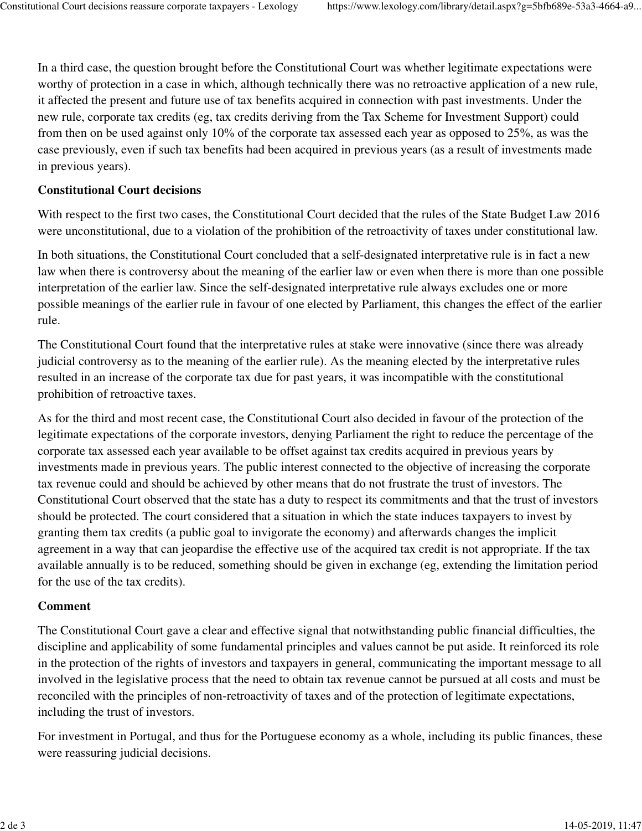In a third case, the question brought before the Constitutional Court was whether legitimate expectations were worthy of protection in a case in which, although technically there was no retroactive application of a new rule, it affected the present and future use of tax benefits acquired in connection with past investments. Under the new rule, corporate tax credits (eg, tax credits deriving from the Tax Scheme for Investment Support) could from then on be used against only 10% of the corporate tax assessed each year as opposed to 25%, as was the case previously, even if such tax benefits had been acquired in previous years (as a result of investments made in previous years).

#### **Constitutional Court decisions**

With respect to the first two cases, the Constitutional Court decided that the rules of the State Budget Law 2016 were unconstitutional, due to a violation of the prohibition of the retroactivity of taxes under constitutional law.

In both situations, the Constitutional Court concluded that a self-designated interpretative rule is in fact a new law when there is controversy about the meaning of the earlier law or even when there is more than one possible interpretation of the earlier law. Since the self-designated interpretative rule always excludes one or more possible meanings of the earlier rule in favour of one elected by Parliament, this changes the effect of the earlier rule.

The Constitutional Court found that the interpretative rules at stake were innovative (since there was already judicial controversy as to the meaning of the earlier rule). As the meaning elected by the interpretative rules resulted in an increase of the corporate tax due for past years, it was incompatible with the constitutional prohibition of retroactive taxes.

As for the third and most recent case, the Constitutional Court also decided in favour of the protection of the legitimate expectations of the corporate investors, denying Parliament the right to reduce the percentage of the corporate tax assessed each year available to be offset against tax credits acquired in previous years by investments made in previous years. The public interest connected to the objective of increasing the corporate tax revenue could and should be achieved by other means that do not frustrate the trust of investors. The Constitutional Court observed that the state has a duty to respect its commitments and that the trust of investors should be protected. The court considered that a situation in which the state induces taxpayers to invest by granting them tax credits (a public goal to invigorate the economy) and afterwards changes the implicit agreement in a way that can jeopardise the effective use of the acquired tax credit is not appropriate. If the tax available annually is to be reduced, something should be given in exchange (eg, extending the limitation period for the use of the tax credits).

#### **Comment**

The Constitutional Court gave a clear and effective signal that notwithstanding public financial difficulties, the discipline and applicability of some fundamental principles and values cannot be put aside. It reinforced its role in the protection of the rights of investors and taxpayers in general, communicating the important message to all involved in the legislative process that the need to obtain tax revenue cannot be pursued at all costs and must be reconciled with the principles of non-retroactivity of taxes and of the protection of legitimate expectations, including the trust of investors.

For investment in Portugal, and thus for the Portuguese economy as a whole, including its public finances, these were reassuring judicial decisions.